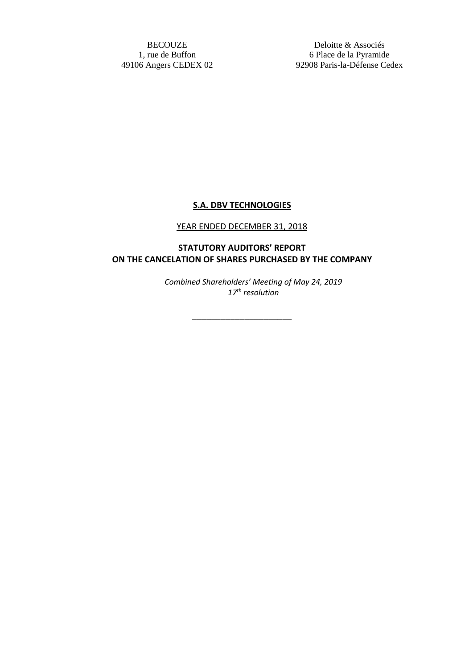BECOUZE 1, rue de Buffon 49106 Angers CEDEX 02

Deloitte & Associés 6 Place de la Pyramide 92908 Paris-la-Défense Cedex

## **S.A. DBV TECHNOLOGIES**

## YEAR ENDED DECEMBER 31, 2018

## **STATUTORY AUDITORS' REPORT ON THE CANCELATION OF SHARES PURCHASED BY THE COMPANY**

\_\_\_\_\_\_\_\_\_\_\_\_\_\_\_\_\_\_\_\_\_

*Combined Shareholders' Meeting of May 24, 2019 17th resolution*